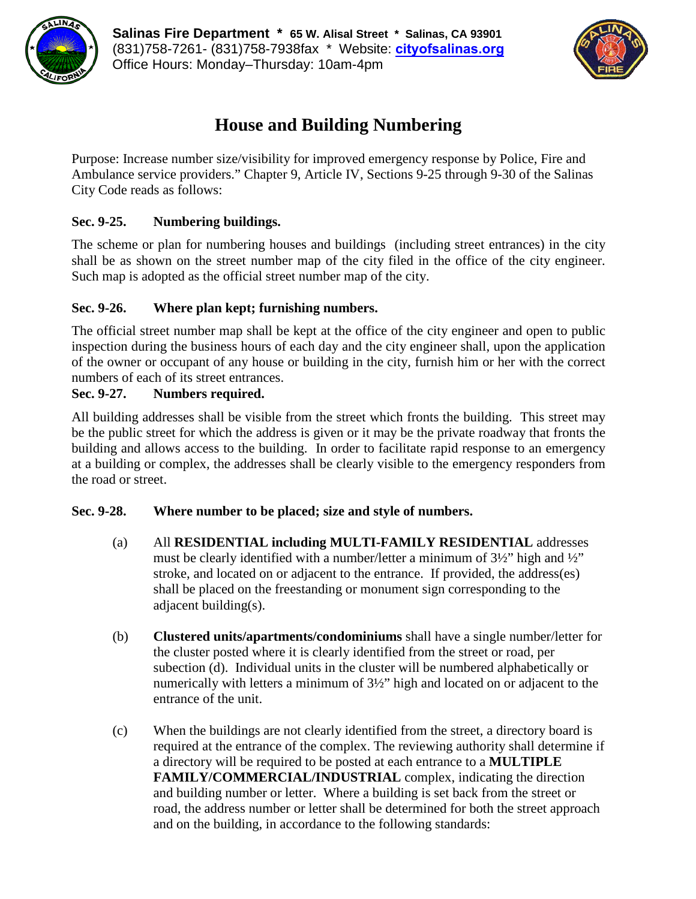



# **House and Building Numbering**

Purpose: Increase number size/visibility for improved emergency response by Police, Fire and Ambulance service providers." Chapter 9, Article IV, Sections 9-25 through 9-30 of the Salinas City Code reads as follows:

## **Sec. 9-25. Numbering buildings.**

The scheme or plan for numbering houses and buildings (including street entrances) in the city shall be as shown on the street number map of the city filed in the office of the city engineer. Such map is adopted as the official street number map of the city.

## **Sec. 9-26. Where plan kept; furnishing numbers.**

The official street number map shall be kept at the office of the city engineer and open to public inspection during the business hours of each day and the city engineer shall, upon the application of the owner or occupant of any house or building in the city, furnish him or her with the correct numbers of each of its street entrances.

### **Sec. 9-27. Numbers required.**

All building addresses shall be visible from the street which fronts the building. This street may be the public street for which the address is given or it may be the private roadway that fronts the building and allows access to the building. In order to facilitate rapid response to an emergency at a building or complex, the addresses shall be clearly visible to the emergency responders from the road or street.

#### **Sec. 9-28. Where number to be placed; size and style of numbers.**

- (a) All **RESIDENTIAL including MULTI-FAMILY RESIDENTIAL** addresses must be clearly identified with a number/letter a minimum of  $3\frac{1}{2}$ " high and  $\frac{1}{2}$ " stroke, and located on or adjacent to the entrance. If provided, the address(es) shall be placed on the freestanding or monument sign corresponding to the adjacent building(s).
- (b) **Clustered units/apartments/condominiums** shall have a single number/letter for the cluster posted where it is clearly identified from the street or road, per subection (d). Individual units in the cluster will be numbered alphabetically or numerically with letters a minimum of 3½" high and located on or adjacent to the entrance of the unit.
- (c) When the buildings are not clearly identified from the street, a directory board is required at the entrance of the complex. The reviewing authority shall determine if a directory will be required to be posted at each entrance to a **MULTIPLE FAMILY/COMMERCIAL/INDUSTRIAL** complex, indicating the direction and building number or letter. Where a building is set back from the street or road, the address number or letter shall be determined for both the street approach and on the building, in accordance to the following standards: